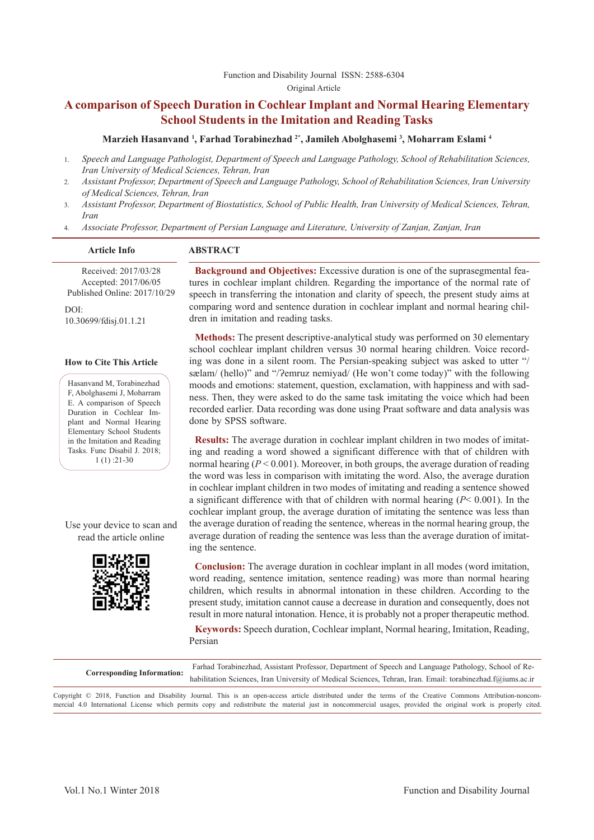# **A comparison of Speech Duration in Cochlear Implant and Normal Hearing Elementary School Students in the Imitation and Reading Tasks**

#### **Marzieh Hasanvand 1 , Farhad Torabinezhad 2\*, Jamileh Abolghasemi 3 , Moharram Eslami 4**

- 1. *Speech and Language Pathologist, Department of Speech and Language Pathology, School of Rehabilitation Sciences, Iran University of Medical Sciences, Tehran, Iran*
- 2. *Assistant Professor, Department of Speech and Language Pathology, School of Rehabilitation Sciences, Iran University of Medical Sciences, Tehran, Iran*
- 3. *Assistant Professor, Department of Biostatistics, School of Public Health, Iran University of Medical Sciences, Tehran, Iran*
- 4. *Associate Professor, Department of Persian Language and Literature, University of Zanjan, Zanjan, Iran*

#### **Article Info ABSTRACT**

Received: 2017/03/28 Accepted: 2017/06/05 Published Online: 2017/10/29

DOI: 10.30699/fdisj.01.1.21

#### **How to Cite This Article**

Hasanvand M, Torabinezhad F, Abolghasemi J, Moharram E. A comparison of Speech Duration in Cochlear Implant and Normal Hearing Elementary School Students in the Imitation and Reading Tasks. Func Disabil J. 2018; 1 (1) :21-30

Use your device to scan and read the article online



**Background and Objectives:** Excessive duration is one of the suprasegmental features in cochlear implant children. Regarding the importance of the normal rate of speech in transferring the intonation and clarity of speech, the present study aims at comparing word and sentence duration in cochlear implant and normal hearing children in imitation and reading tasks.

**Methods:** The present descriptive-analytical study was performed on 30 elementary school cochlear implant children versus 30 normal hearing children. Voice recording was done in a silent room. The Persian-speaking subject was asked to utter "/ sælam/ (hello)" and "/?emruz nemiyad/ (He won't come today)" with the following moods and emotions: statement, question, exclamation, with happiness and with sadness. Then, they were asked to do the same task imitating the voice which had been recorded earlier. Data recording was done using Praat software and data analysis was done by SPSS software.

**Results:** The average duration in cochlear implant children in two modes of imitating and reading a word showed a significant difference with that of children with normal hearing (*P* < 0.001). Moreover, in both groups, the average duration of reading the word was less in comparison with imitating the word. Also, the average duration in cochlear implant children in two modes of imitating and reading a sentence showed a significant difference with that of children with normal hearing (*P*< 0.001). In the cochlear implant group, the average duration of imitating the sentence was less than the average duration of reading the sentence, whereas in the normal hearing group, the average duration of reading the sentence was less than the average duration of imitating the sentence.

**Conclusion:** The average duration in cochlear implant in all modes (word imitation, word reading, sentence imitation, sentence reading) was more than normal hearing children, which results in abnormal intonation in these children. According to the present study, imitation cannot cause a decrease in duration and consequently, does not result in more natural intonation. Hence, it is probably not a proper therapeutic method.

**Keywords:** Speech duration, Cochlear implant, Normal hearing, Imitation, Reading, Persian

| <b>Corresponding Information:</b> | Farhad Torabinezhad, Assistant Professor, Department of Speech and Language Pathology, School of Re-<br>habilitation Sciences, Iran University of Medical Sciences, Tehran, Iran. Email: torabinezhad.f@iums.ac.ir                |
|-----------------------------------|-----------------------------------------------------------------------------------------------------------------------------------------------------------------------------------------------------------------------------------|
|                                   | $\alpha$ the action of the time that the close of the contract of the contract of the contract of the contract of the contract of the contract of the contract of the contract of the contract of the contract of the contract of |

Copyright © 2018, Function and Disability Journal. This is an open-access article distributed under the terms of the Creative Commons Attribution-noncommercial 4.0 International License which permits copy and redistribute the material just in noncommercial usages, provided the original work is properly cited.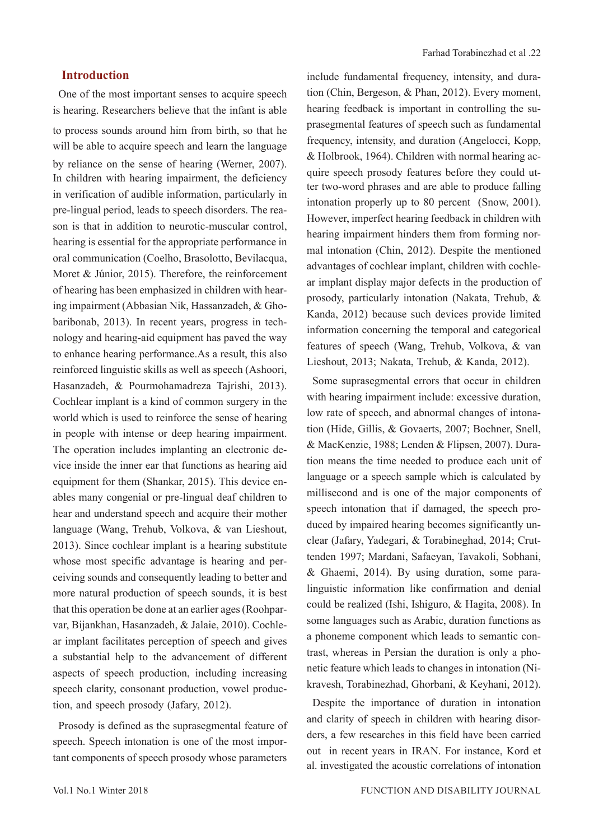## **Introduction**

One of the most important senses to acquire speech is hearing. Researchers believe that the infant is able to process sounds around him from birth, so that he will be able to acquire speech and learn the language by reliance on the sense of hearing (Werner, 2007). In children with hearing impairment, the deficiency in verification of audible information, particularly in pre-lingual period, leads to speech disorders. The reason is that in addition to neurotic-muscular control, hearing is essential for the appropriate performance in oral communication (Coelho, Brasolotto, Bevilacqua, Moret & Júnior, 2015). Therefore, the reinforcement of hearing has been emphasized in children with hearing impairment (Abbasian Nik, Hassanzadeh, & Ghobaribonab, 2013). In recent years, progress in technology and hearing-aid equipment has paved the way to enhance hearing performance.As a result, this also reinforced linguistic skills as well as speech (Ashoori, Hasanzadeh, & Pourmohamadreza Tajrishi, 2013). Cochlear implant is a kind of common surgery in the world which is used to reinforce the sense of hearing in people with intense or deep hearing impairment. The operation includes implanting an electronic device inside the inner ear that functions as hearing aid equipment for them (Shankar, 2015). This device enables many congenial or pre-lingual deaf children to hear and understand speech and acquire their mother language (Wang, Trehub, Volkova, & van Lieshout, 2013). Since cochlear implant is a hearing substitute whose most specific advantage is hearing and perceiving sounds and consequently leading to better and more natural production of speech sounds, it is best that this operation be done at an earlier ages (Roohparvar, Bijankhan, Hasanzadeh, & Jalaie, 2010). Cochlear implant facilitates perception of speech and gives a substantial help to the advancement of different aspects of speech production, including increasing speech clarity, consonant production, vowel production, and speech prosody (Jafary, 2012).

Prosody is defined as the suprasegmental feature of speech. Speech intonation is one of the most important components of speech prosody whose parameters

include fundamental frequency, intensity, and duration (Chin, Bergeson, & Phan, 2012). Every moment, hearing feedback is important in controlling the suprasegmental features of speech such as fundamental frequency, intensity, and duration (Angelocci, Kopp, & Holbrook, 1964). Children with normal hearing acquire speech prosody features before they could utter two-word phrases and are able to produce falling intonation properly up to 80 percent (Snow, 2001). However, imperfect hearing feedback in children with hearing impairment hinders them from forming normal intonation (Chin, 2012). Despite the mentioned advantages of cochlear implant, children with cochlear implant display major defects in the production of prosody, particularly intonation (Nakata, Trehub, & Kanda, 2012) because such devices provide limited information concerning the temporal and categorical features of speech (Wang, Trehub, Volkova, & van Lieshout, 2013; Nakata, Trehub, & Kanda, 2012).

Some suprasegmental errors that occur in children with hearing impairment include: excessive duration, low rate of speech, and abnormal changes of intonation (Hide, Gillis, & Govaerts, 2007; Bochner, Snell, & MacKenzie, 1988; Lenden & Flipsen, 2007). Duration means the time needed to produce each unit of language or a speech sample which is calculated by millisecond and is one of the major components of speech intonation that if damaged, the speech produced by impaired hearing becomes significantly unclear (Jafary, Yadegari, & Torabineghad, 2014; Cruttenden 1997; Mardani, Safaeyan, Tavakoli, Sobhani, & Ghaemi, 2014). By using duration, some paralinguistic information like confirmation and denial could be realized (Ishi, Ishiguro, & Hagita, 2008). In some languages such as Arabic, duration functions as a phoneme component which leads to semantic contrast, whereas in Persian the duration is only a phonetic feature which leads to changes in intonation (Nikravesh, Torabinezhad, Ghorbani, & Keyhani, 2012).

Despite the importance of duration in intonation and clarity of speech in children with hearing disorders, a few researches in this field have been carried out in recent years in IRAN. For instance, Kord et al. investigated the acoustic correlations of intonation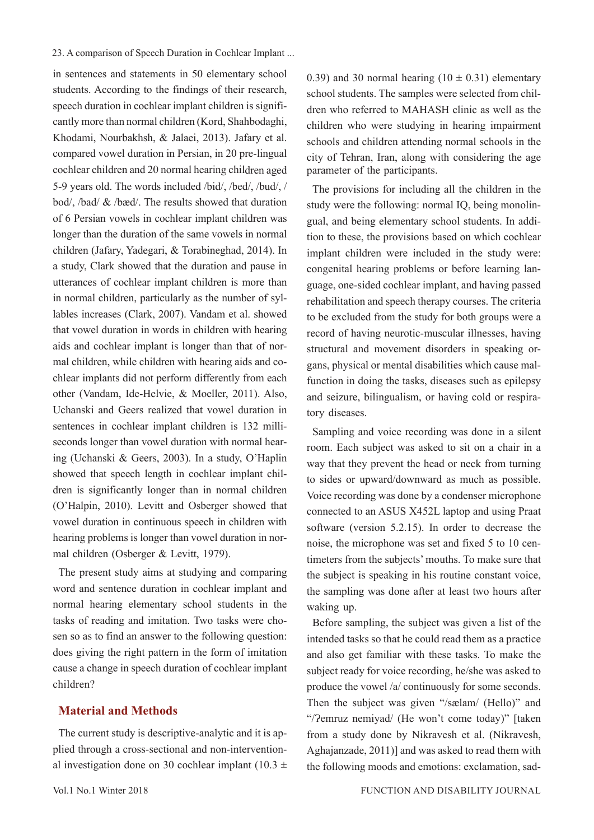in sentences and statements in 50 elementary school students. According to the findings of their research, speech duration in cochlear implant children is significantly more than normal children (Kord, Shahbodaghi, Khodami, Nourbakhsh, & Jalaei, 2013). Jafary et al. compared vowel duration in Persian, in 20 pre-lingual cochlear children and 20 normal hearing children aged 5-9 years old. The words included /bid/, /bed/, /bud/, / bod/, /bad/ & /bæd/. The results showed that duration of 6 Persian vowels in cochlear implant children was longer than the duration of the same vowels in normal children (Jafary, Yadegari, & Torabineghad, 2014). In a study, Clark showed that the duration and pause in utterances of cochlear implant children is more than in normal children, particularly as the number of syllables increases (Clark, 2007). Vandam et al. showed that vowel duration in words in children with hearing aids and cochlear implant is longer than that of normal children, while children with hearing aids and cochlear implants did not perform differently from each other (Vandam, Ide-Helvie, & Moeller, 2011). Also, Uchanski and Geers realized that vowel duration in sentences in cochlear implant children is 132 milliseconds longer than vowel duration with normal hearing (Uchanski & Geers, 2003). In a study, O'Haplin showed that speech length in cochlear implant children is significantly longer than in normal children (O'Halpin, 2010). Levitt and Osberger showed that vowel duration in continuous speech in children with hearing problems is longer than vowel duration in normal children (Osberger & Levitt, 1979).

The present study aims at studying and comparing word and sentence duration in cochlear implant and normal hearing elementary school students in the tasks of reading and imitation. Two tasks were chosen so as to find an answer to the following question: does giving the right pattern in the form of imitation cause a change in speech duration of cochlear implant children?

## **Material and Methods**

The current study is descriptive-analytic and it is applied through a cross-sectional and non-interventional investigation done on 30 cochlear implant (10.3  $\pm$  0.39) and 30 normal hearing  $(10 \pm 0.31)$  elementary school students. The samples were selected from children who referred to MAHASH clinic as well as the children who were studying in hearing impairment schools and children attending normal schools in the city of Tehran, Iran, along with considering the age parameter of the participants.

The provisions for including all the children in the study were the following: normal IQ, being monolingual, and being elementary school students. In addition to these, the provisions based on which cochlear implant children were included in the study were: congenital hearing problems or before learning language, one-sided cochlear implant, and having passed rehabilitation and speech therapy courses. The criteria to be excluded from the study for both groups were a record of having neurotic-muscular illnesses, having structural and movement disorders in speaking organs, physical or mental disabilities which cause malfunction in doing the tasks, diseases such as epilepsy and seizure, bilingualism, or having cold or respiratory diseases.

Sampling and voice recording was done in a silent room. Each subject was asked to sit on a chair in a way that they prevent the head or neck from turning to sides or upward/downward as much as possible. Voice recording was done by a condenser microphone connected to an ASUS X452L laptop and using Praat software (version 5.2.15). In order to decrease the noise, the microphone was set and fixed 5 to 10 centimeters from the subjects' mouths. To make sure that the subject is speaking in his routine constant voice, the sampling was done after at least two hours after waking up.

Before sampling, the subject was given a list of the intended tasks so that he could read them as a practice and also get familiar with these tasks. To make the subject ready for voice recording, he/she was asked to produce the vowel /a/ continuously for some seconds. Then the subject was given "/sælam/ (Hello)" and "/?emruz nemiyad/ (He won't come today)" [taken from a study done by Nikravesh et al. (Nikravesh, Aghajanzade, 2011)] and was asked to read them with the following moods and emotions: exclamation, sad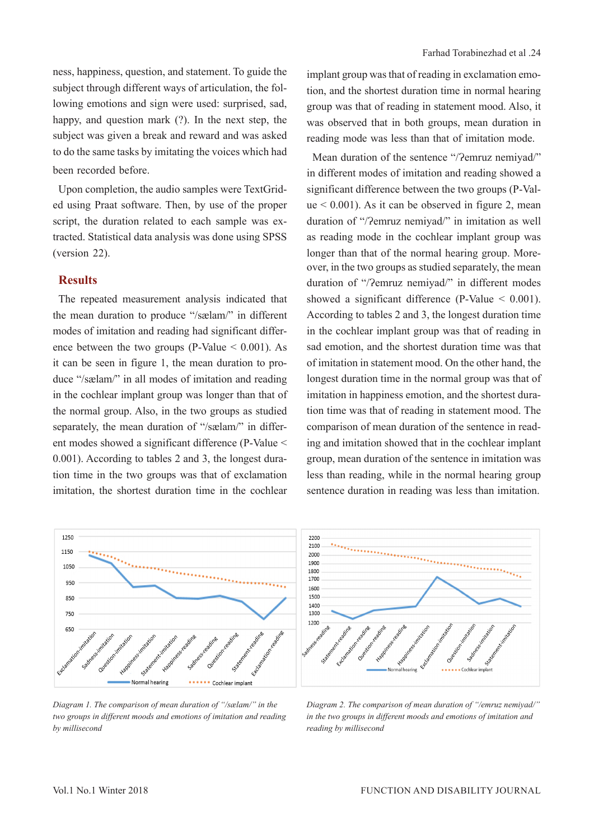ness, happiness, question, and statement. To guide the subject through different ways of articulation, the following emotions and sign were used: surprised, sad, happy, and question mark (?). In the next step, the subject was given a break and reward and was asked to do the same tasks by imitating the voices which had been recorded before.

Upon completion, the audio samples were TextGrided using Praat software. Then, by use of the proper script, the duration related to each sample was extracted. Statistical data analysis was done using SPSS (version 22).

## **Results**

The repeated measurement analysis indicated that the mean duration to produce "/sælam/" in different modes of imitation and reading had significant difference between the two groups (P-Value  $\leq 0.001$ ). As it can be seen in figure 1, the mean duration to produce "/sælam/" in all modes of imitation and reading in the cochlear implant group was longer than that of the normal group. Also, in the two groups as studied separately, the mean duration of "/sælam/" in different modes showed a significant difference (P-Value < 0.001). According to tables 2 and 3, the longest duration time in the two groups was that of exclamation imitation, the shortest duration time in the cochlear

implant group was that of reading in exclamation emotion, and the shortest duration time in normal hearing group was that of reading in statement mood. Also, it was observed that in both groups, mean duration in reading mode was less than that of imitation mode.

Mean duration of the sentence "/?emruz nemiyad/" in different modes of imitation and reading showed a significant difference between the two groups (P-Val $ue < 0.001$ ). As it can be observed in figure 2, mean duration of "/?emruz nemiyad/" in imitation as well as reading mode in the cochlear implant group was longer than that of the normal hearing group. Moreover, in the two groups as studied separately, the mean duration of "/?emruz nemiyad/" in different modes showed a significant difference (P-Value < 0.001). According to tables 2 and 3, the longest duration time in the cochlear implant group was that of reading in sad emotion, and the shortest duration time was that of imitation in statement mood. On the other hand, the longest duration time in the normal group was that of imitation in happiness emotion, and the shortest duration time was that of reading in statement mood. The comparison of mean duration of the sentence in reading and imitation showed that in the cochlear implant group, mean duration of the sentence in imitation was less than reading, while in the normal hearing group sentence duration in reading was less than imitation.



*Diagram 1. The comparison of mean duration of "/sælam/" in the two groups in different moods and emotions of imitation and reading by millisecond*

*Diagram 2. The comparison of mean duration of "/emruz nemiyad/" in the two groups in different moods and emotions of imitation and reading by millisecond*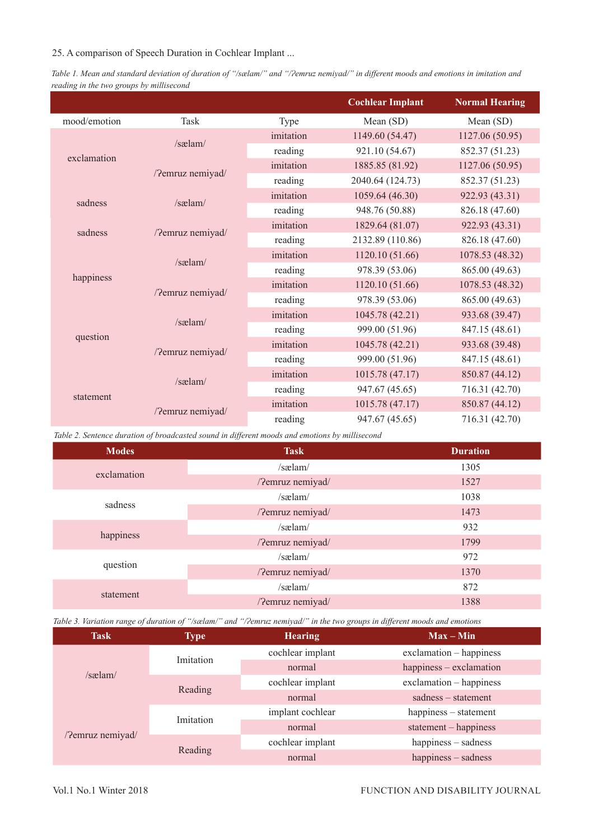*Table 1. Mean and standard deviation of duration of "/sælam/" and "/Ɂemruz nemiyad/" in different moods and emotions in imitation and reading in the two groups by millisecond*

|              |                  |           | <b>Cochlear Implant</b> | <b>Normal Hearing</b> |
|--------------|------------------|-----------|-------------------------|-----------------------|
| mood/emotion | Task             | Type      | Mean (SD)               | Mean (SD)             |
|              | $/s$ as lam $/$  | imitation | 1149.60 (54.47)         | 1127.06 (50.95)       |
|              |                  | reading   | 921.10 (54.67)          | 852.37 (51.23)        |
| exclamation  | /?emruz nemiyad/ | imitation | 1885.85 (81.92)         | 1127.06 (50.95)       |
|              |                  | reading   | 2040.64 (124.73)        | 852.37 (51.23)        |
| sadness      | $/s$ as lam $/$  | imitation | 1059.64 (46.30)         | 922.93 (43.31)        |
|              |                  | reading   | 948.76 (50.88)          | 826.18 (47.60)        |
| sadness      | /?emruz nemiyad/ | imitation | 1829.64 (81.07)         | 922.93 (43.31)        |
|              |                  | reading   | 2132.89 (110.86)        | 826.18 (47.60)        |
|              | /sælam/          | imitation | 1120.10 (51.66)         | 1078.53 (48.32)       |
| happiness    |                  | reading   | 978.39 (53.06)          | 865.00 (49.63)        |
|              | /?emruz nemiyad/ | imitation | 1120.10 (51.66)         | 1078.53 (48.32)       |
|              |                  | reading   | 978.39 (53.06)          | 865.00 (49.63)        |
|              | $/s$ as $lam/$   | imitation | 1045.78 (42.21)         | 933.68 (39.47)        |
|              |                  | reading   | 999.00 (51.96)          | 847.15 (48.61)        |
| question     | /?emruz nemiyad/ | imitation | 1045.78 (42.21)         | 933.68 (39.48)        |
|              |                  | reading   | 999.00 (51.96)          | 847.15 (48.61)        |
|              | $/s$ as $lam/$   | imitation | 1015.78 (47.17)         | 850.87 (44.12)        |
|              |                  | reading   | 947.67 (45.65)          | 716.31 (42.70)        |
| statement    | /?emruz nemiyad/ | imitation | 1015.78 (47.17)         | 850.87 (44.12)        |
|              |                  | reading   | 947.67 (45.65)          | 716.31 (42.70)        |

*Table 2. Sentence duration of broadcasted sound in different moods and emotions by millisecond*

| <b>Modes</b> | <b>Task</b>      | <b>Duration</b> |
|--------------|------------------|-----------------|
| exclamation  | $/s$ aelam $/$   | 1305            |
|              | /?emruz nemiyad/ | 1527            |
| sadness      | $/s$ aelam $/$   | 1038            |
|              | /?emruz nemiyad/ | 1473            |
| happiness    | /sælam/          | 932             |
|              | /?emruz nemiyad/ | 1799            |
| question     | /sælam/          | 972             |
|              | /?emruz nemiyad/ | 1370            |
| statement    | $/s$ as $lam/$   | 872             |
|              | /?emruz nemiyad/ | 1388            |

*Table 3. Variation range of duration of "/sælam/" and "/Ɂemruz nemiyad/" in the two groups in different moods and emotions*

| <b>Task</b>      | <b>Type</b> | <b>Hearing</b>   | $Max - Min$              |
|------------------|-------------|------------------|--------------------------|
|                  | Imitation   | cochlear implant | $exclamation - happings$ |
| $/s$ as $lam/$   |             | normal           | happiness - exclamation  |
|                  | Reading     | cochlear implant | exclamation - happiness  |
|                  |             | normal           | $s$ adness – statement   |
| /?emruz nemiyad/ | Imitation   | implant cochlear | happiness – statement    |
|                  |             | normal           | $statement - happings$   |
|                  | Reading     | cochlear implant | happiness - sadness      |
|                  |             | normal           | happiness - sadness      |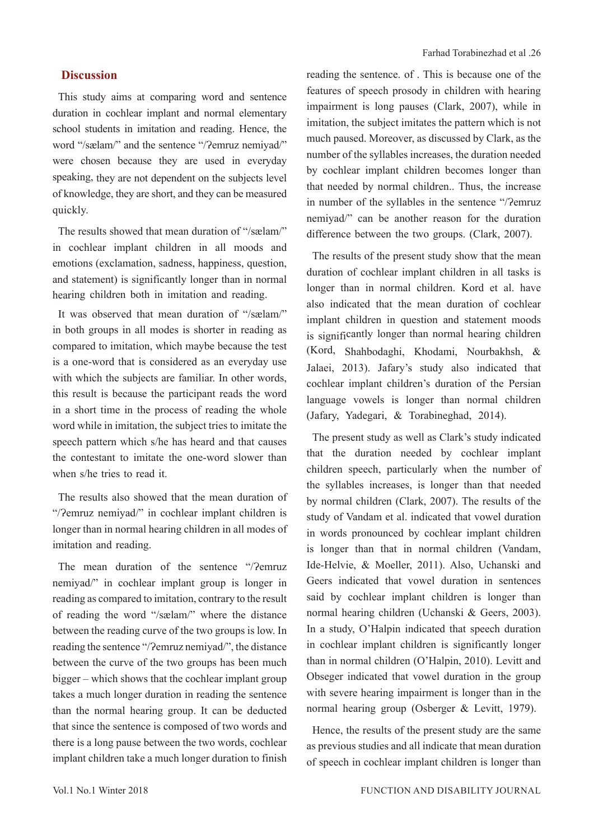## **Discussion**

This study aims at comparing word and sentence duration in cochlear implant and normal elementary school students in imitation and reading. Hence, the word "/sælam/" and the sentence "/?emruz nemiyad/" were chosen because they are used in everyday speaking, they are not dependent on the subjects level of knowledge, they are short, and they can be measured quickly.

The results showed that mean duration of "/sælam/" in cochlear implant children in all moods and emotions (exclamation, sadness, happiness, question, and statement) is significantly longer than in normal hearing children both in imitation and reading.

It was observed that mean duration of "/sælam/" in both groups in all modes is shorter in reading as compared to imitation, which maybe because the test is a one-word that is considered as an everyday use with which the subjects are familiar. In other words, this result is because the participant reads the word in a short time in the process of reading the whole word while in imitation, the subject tries to imitate the speech pattern which s/he has heard and that causes the contestant to imitate the one-word slower than when s/he tries to read it.

The results also showed that the mean duration of "/?emruz nemiyad/" in cochlear implant children is longer than in normal hearing children in all modes of imitation and reading.

The mean duration of the sentence "/?emruz nemiyad/" in cochlear implant group is longer in reading as compared to imitation, contrary to the result of reading the word "/sælam/" where the distance between the reading curve of the two groups is low. In reading the sentence "/?emruz nemiyad/", the distance between the curve of the two groups has been much bigger – which shows that the cochlear implant group takes a much longer duration in reading the sentence than the normal hearing group. It can be deducted that since the sentence is composed of two words and there is a long pause between the two words, cochlear implant children take a much longer duration to finish

reading the sentence. of . This is because one of the features of speech prosody in children with hearing impairment is long pauses (Clark, 2007), while in imitation, the subject imitates the pattern which is not much paused. Moreover, as discussed by Clark, as the number of the syllables increases, the duration needed by cochlear implant children becomes longer than that needed by normal children.. Thus, the increase in number of the syllables in the sentence "/?emruz nemiyad/" can be another reason for the duration difference between the two groups. (Clark, 2007).

The results of the present study show that the mean duration of cochlear implant children in all tasks is longer than in normal children. Kord et al. have also indicated that the mean duration of cochlear implant children in question and statement moods is significantly longer than normal hearing children (Kord, Shahbodaghi, Khodami, Nourbakhsh, & Jalaei, 2013). Jafary's study also indicated that cochlear implant children's duration of the Persian language vowels is longer than normal children (Jafary, Yadegari, & Torabineghad, 2014).

The present study as well as Clark's study indicated that the duration needed by cochlear implant children speech, particularly when the number of the syllables increases, is longer than that needed by normal children (Clark, 2007). The results of the study of Vandam et al. indicated that vowel duration in words pronounced by cochlear implant children is longer than that in normal children (Vandam, Ide-Helvie, & Moeller, 2011). Also, Uchanski and Geers indicated that vowel duration in sentences said by cochlear implant children is longer than normal hearing children (Uchanski & Geers, 2003). In a study, O'Halpin indicated that speech duration in cochlear implant children is significantly longer than in normal children (O'Halpin, 2010). Levitt and Obseger indicated that vowel duration in the group with severe hearing impairment is longer than in the normal hearing group (Osberger & Levitt, 1979).

Hence, the results of the present study are the same as previous studies and all indicate that mean duration of speech in cochlear implant children is longer than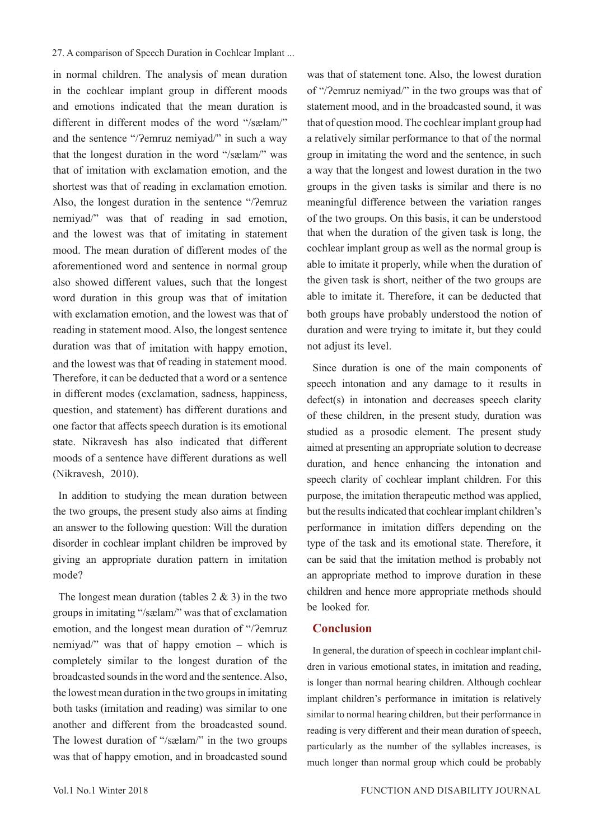in normal children. The analysis of mean duration in the cochlear implant group in different moods and emotions indicated that the mean duration is different in different modes of the word "/sælam/" and the sentence "/?emruz nemiyad/" in such a way that the longest duration in the word "/sælam/" was that of imitation with exclamation emotion, and the shortest was that of reading in exclamation emotion. Also, the longest duration in the sentence "/?emruz nemiyad/" was that of reading in sad emotion, and the lowest was that of imitating in statement mood. The mean duration of different modes of the aforementioned word and sentence in normal group also showed different values, such that the longest word duration in this group was that of imitation with exclamation emotion, and the lowest was that of reading in statement mood. Also, the longest sentence duration was that of imitation with happy emotion, and the lowest was that of reading in statement mood. Therefore, it can be deducted that a word or a sentence in different modes (exclamation, sadness, happiness, question, and statement) has different durations and one factor that affects speech duration is its emotional state. Nikravesh has also indicated that different moods of a sentence have different durations as well (Nikravesh, 2010).

In addition to studying the mean duration between the two groups, the present study also aims at finding an answer to the following question: Will the duration disorder in cochlear implant children be improved by giving an appropriate duration pattern in imitation mode?

The longest mean duration (tables  $2 \& 3$ ) in the two groups in imitating "/sælam/" was that of exclamation emotion, and the longest mean duration of "/?emruz nemiyad/" was that of happy emotion – which is completely similar to the longest duration of the broadcasted sounds in the word and the sentence. Also, the lowest mean duration in the two groups in imitating both tasks (imitation and reading) was similar to one another and different from the broadcasted sound. The lowest duration of "/sælam/" in the two groups was that of happy emotion, and in broadcasted sound

was that of statement tone. Also, the lowest duration of "/?emruz nemiyad/" in the two groups was that of statement mood, and in the broadcasted sound, it was that of question mood. The cochlear implant group had a relatively similar performance to that of the normal group in imitating the word and the sentence, in such a way that the longest and lowest duration in the two groups in the given tasks is similar and there is no meaningful difference between the variation ranges of the two groups. On this basis, it can be understood that when the duration of the given task is long, the cochlear implant group as well as the normal group is able to imitate it properly, while when the duration of the given task is short, neither of the two groups are able to imitate it. Therefore, it can be deducted that both groups have probably understood the notion of duration and were trying to imitate it, but they could not adjust its level.

Since duration is one of the main components of speech intonation and any damage to it results in defect(s) in intonation and decreases speech clarity of these children, in the present study, duration was studied as a prosodic element. The present study aimed at presenting an appropriate solution to decrease duration, and hence enhancing the intonation and speech clarity of cochlear implant children. For this purpose, the imitation therapeutic method was applied, but the results indicated that cochlear implant children's performance in imitation differs depending on the type of the task and its emotional state. Therefore, it can be said that the imitation method is probably not an appropriate method to improve duration in these children and hence more appropriate methods should be looked for.

## **Conclusion**

In general, the duration of speech in cochlear implant children in various emotional states, in imitation and reading, is longer than normal hearing children. Although cochlear implant children's performance in imitation is relatively similar to normal hearing children, but their performance in reading is very different and their mean duration of speech, particularly as the number of the syllables increases, is much longer than normal group which could be probably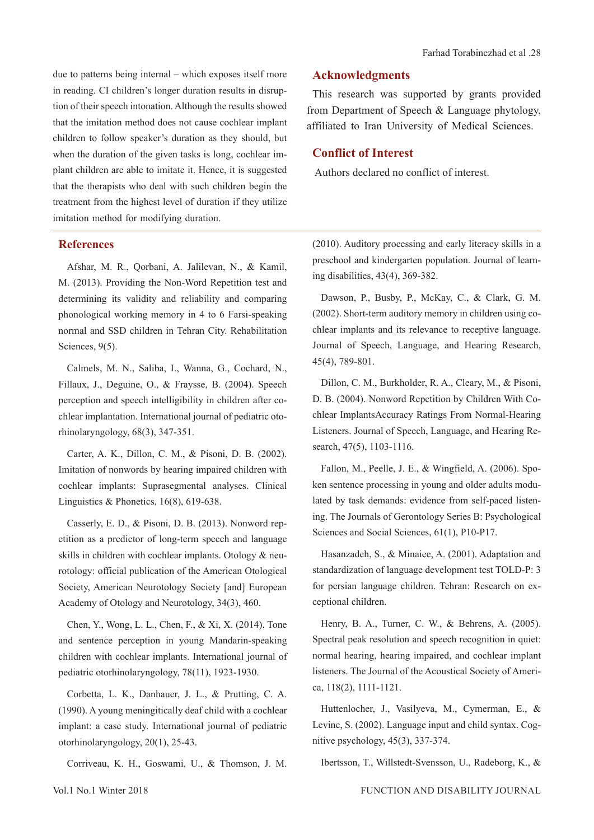due to patterns being internal – which exposes itself more in reading. CI children's longer duration results in disruption of their speech intonation. Although the results showed that the imitation method does not cause cochlear implant children to follow speaker's duration as they should, but when the duration of the given tasks is long, cochlear implant children are able to imitate it. Hence, it is suggested that the therapists who deal with such children begin the treatment from the highest level of duration if they utilize imitation method for modifying duration.

#### **References**

Afshar, M. R., Qorbani, A. Jalilevan, N., & Kamil, M. (2013). Providing the Non-Word Repetition test and determining its validity and reliability and comparing phonological working memory in 4 to 6 Farsi-speaking normal and SSD children in Tehran City. Rehabilitation Sciences, 9(5).

Calmels, M. N., Saliba, I., Wanna, G., Cochard, N., Fillaux, J., Deguine, O., & Fraysse, B. (2004). Speech perception and speech intelligibility in children after cochlear implantation. International journal of pediatric otorhinolaryngology, 68(3), 347-351.

Carter, A. K., Dillon, C. M., & Pisoni, D. B. (2002). Imitation of nonwords by hearing impaired children with cochlear implants: Suprasegmental analyses. Clinical Linguistics & Phonetics, 16(8), 619-638.

Casserly, E. D., & Pisoni, D. B. (2013). Nonword repetition as a predictor of long-term speech and language skills in children with cochlear implants. Otology & neurotology: official publication of the American Otological Society, American Neurotology Society [and] European Academy of Otology and Neurotology, 34(3), 460.

Chen, Y., Wong, L. L., Chen, F., & Xi, X. (2014). Tone and sentence perception in young Mandarin-speaking children with cochlear implants. International journal of pediatric otorhinolaryngology, 78(11), 1923-1930.

Corbetta, L. K., Danhauer, J. L., & Prutting, C. A. (1990). A young meningitically deaf child with a cochlear implant: a case study. International journal of pediatric otorhinolaryngology, 20(1), 25-43.

Corriveau, K. H., Goswami, U., & Thomson, J. M.

This research was supported by grants provided from Department of Speech & Language phytology, affiliated to Iran University of Medical Sciences.

#### **Conflict of Interest**

Authors declared no conflict of interest.

(2010). Auditory processing and early literacy skills in a preschool and kindergarten population. Journal of learning disabilities, 43(4), 369-382.

Dawson, P., Busby, P., McKay, C., & Clark, G. M. (2002). Short-term auditory memory in children using cochlear implants and its relevance to receptive language. Journal of Speech, Language, and Hearing Research, 45(4), 789-801.

Dillon, C. M., Burkholder, R. A., Cleary, M., & Pisoni, D. B. (2004). Nonword Repetition by Children With Cochlear ImplantsAccuracy Ratings From Normal-Hearing Listeners. Journal of Speech, Language, and Hearing Research, 47(5), 1103-1116.

Fallon, M., Peelle, J. E., & Wingfield, A. (2006). Spoken sentence processing in young and older adults modulated by task demands: evidence from self-paced listening. The Journals of Gerontology Series B: Psychological Sciences and Social Sciences, 61(1), P10-P17.

Hasanzadeh, S., & Minaiee, A. (2001). Adaptation and standardization of language development test TOLD-P: 3 for persian language children. Tehran: Research on exceptional children.

Henry, B. A., Turner, C. W., & Behrens, A. (2005). Spectral peak resolution and speech recognition in quiet: normal hearing, hearing impaired, and cochlear implant listeners. The Journal of the Acoustical Society of America, 118(2), 1111-1121.

Huttenlocher, J., Vasilyeva, M., Cymerman, E., & Levine, S. (2002). Language input and child syntax. Cognitive psychology, 45(3), 337-374.

Ibertsson, T., Willstedt-Svensson, U., Radeborg, K., &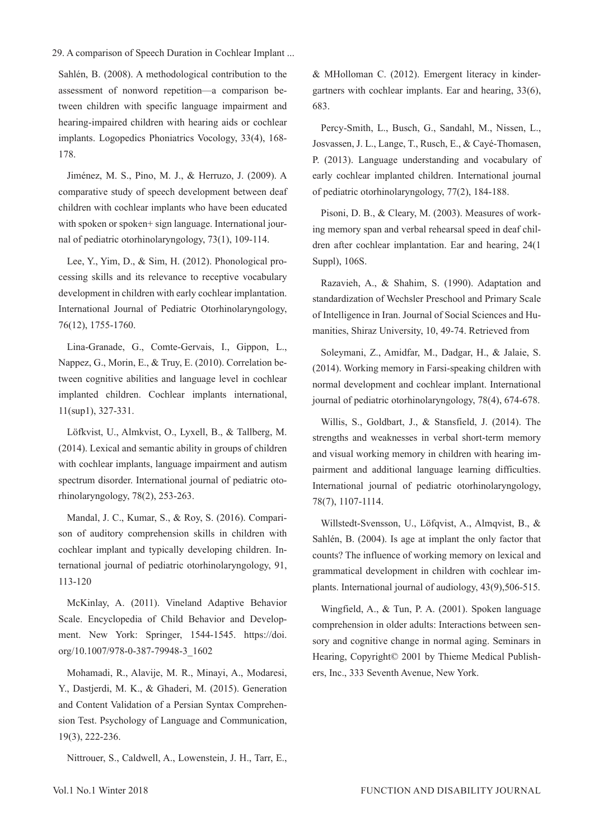Sahlén, B. (2008). A methodological contribution to the assessment of nonword repetition—a comparison between children with specific language impairment and hearing-impaired children with hearing aids or cochlear implants. Logopedics Phoniatrics Vocology, 33(4), 168- 178.

Jiménez, M. S., Pino, M. J., & Herruzo, J. (2009). A comparative study of speech development between deaf children with cochlear implants who have been educated with spoken or spoken+ sign language. International journal of pediatric otorhinolaryngology, 73(1), 109-114.

Lee, Y., Yim, D., & Sim, H. (2012). Phonological processing skills and its relevance to receptive vocabulary development in children with early cochlear implantation. International Journal of Pediatric Otorhinolaryngology, 76(12), 1755-1760.

Lina-Granade, G., Comte-Gervais, I., Gippon, L., Nappez, G., Morin, E., & Truy, E. (2010). Correlation between cognitive abilities and language level in cochlear implanted children. Cochlear implants international, 11(sup1), 327-331.

Löfkvist, U., Almkvist, O., Lyxell, B., & Tallberg, M. (2014). Lexical and semantic ability in groups of children with cochlear implants, language impairment and autism spectrum disorder. International journal of pediatric otorhinolaryngology, 78(2), 253-263.

Mandal, J. C., Kumar, S., & Roy, S. (2016). Comparison of auditory comprehension skills in children with cochlear implant and typically developing children. International journal of pediatric otorhinolaryngology, 91, 113-120

McKinlay, A. (2011). Vineland Adaptive Behavior Scale. Encyclopedia of Child Behavior and Development. New York: Springer, 1544-1545. https://doi. org/10.1007/978-0-387-79948-3\_1602

Mohamadi, R., Alavije, M. R., Minayi, A., Modaresi, Y., Dastjerdi, M. K., & Ghaderi, M. (2015). Generation and Content Validation of a Persian Syntax Comprehension Test. Psychology of Language and Communication, 19(3), 222-236.

Nittrouer, S., Caldwell, A., Lowenstein, J. H., Tarr, E.,

& MHolloman C. (2012). Emergent literacy in kindergartners with cochlear implants. Ear and hearing, 33(6), 683.

Percy-Smith, L., Busch, G., Sandahl, M., Nissen, L., Josvassen, J. L., Lange, T., Rusch, E., & Cayé-Thomasen, P. (2013). Language understanding and vocabulary of early cochlear implanted children. International journal of pediatric otorhinolaryngology, 77(2), 184-188.

Pisoni, D. B., & Cleary, M. (2003). Measures of working memory span and verbal rehearsal speed in deaf children after cochlear implantation. Ear and hearing, 24(1 Suppl), 106S.

Razavieh, A., & Shahim, S. (1990). Adaptation and standardization of Wechsler Preschool and Primary Scale of Intelligence in Iran. Journal of Social Sciences and Humanities, Shiraz University, 10, 49-74. Retrieved from

Soleymani, Z., Amidfar, M., Dadgar, H., & Jalaie, S. (2014). Working memory in Farsi-speaking children with normal development and cochlear implant. International journal of pediatric otorhinolaryngology, 78(4), 674-678.

Willis, S., Goldbart, J., & Stansfield, J. (2014). The strengths and weaknesses in verbal short-term memory and visual working memory in children with hearing impairment and additional language learning difficulties. International journal of pediatric otorhinolaryngology, 78(7), 1107-1114.

Willstedt-Svensson, U., Löfqvist, A., Almqvist, B., & Sahlén, B. (2004). Is age at implant the only factor that counts? The influence of working memory on lexical and grammatical development in children with cochlear implants. International journal of audiology, 43(9),506-515.

Wingfield, A., & Tun, P. A. (2001). Spoken language comprehension in older adults: Interactions between sensory and cognitive change in normal aging. Seminars in Hearing, Copyright© 2001 by Thieme Medical Publishers, Inc., 333 Seventh Avenue, New York.